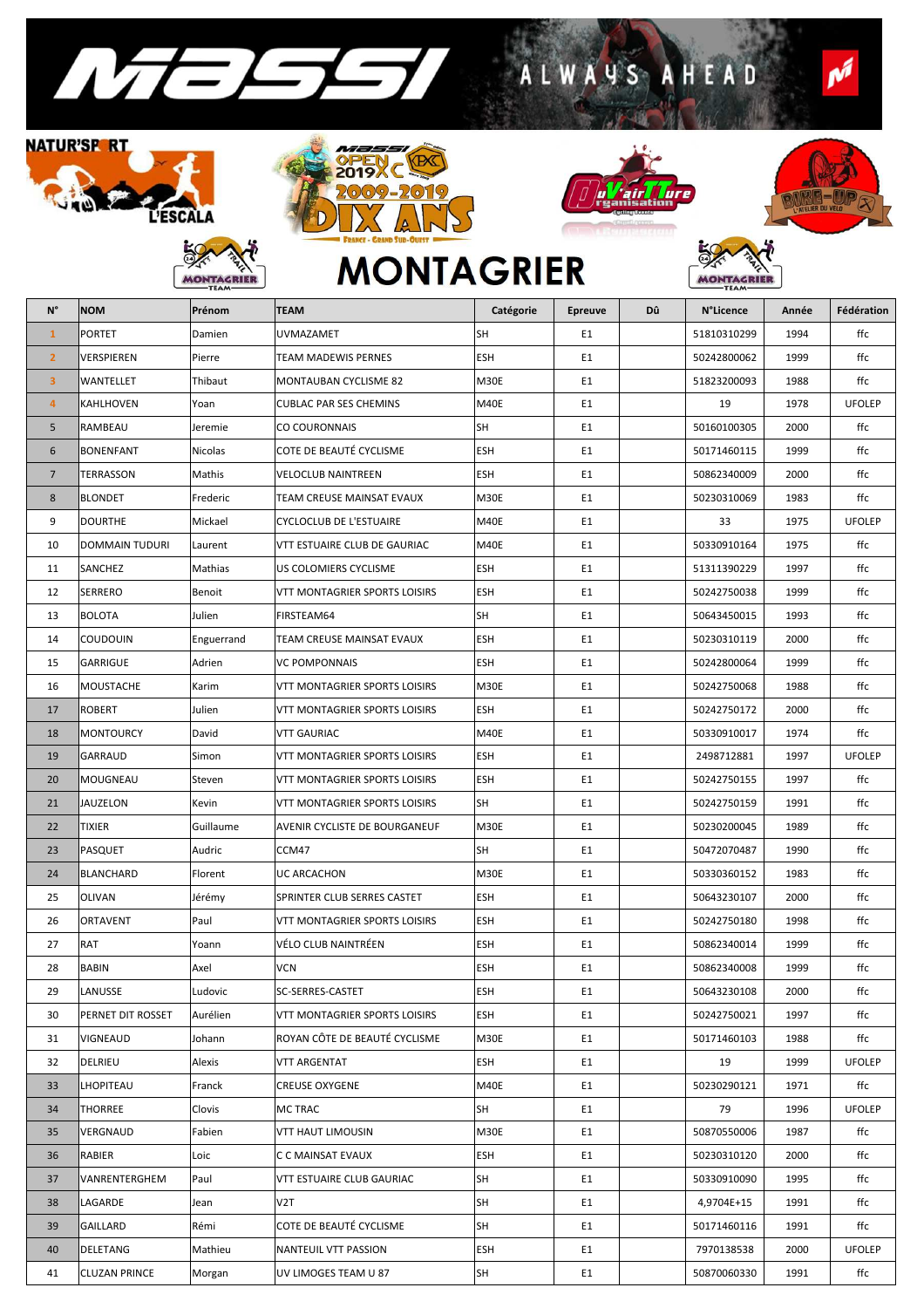

## **NATUR'SF RT** RIA  $\mathcal{P}$ L'ÉSCALA

**BC** 

**MONTAGRIER** 





ALWAYS AHEAD



MONTAGRIER

 $\boldsymbol{\rho}^j$ 

## **MONTAGRIER**

| $N^{\circ}$     | <b>NOM</b>           | Prénom         | <b>TEAM</b>                          | Catégorie   | <b>Epreuve</b> | Dû | N°Licence   | Année | Fédération    |
|-----------------|----------------------|----------------|--------------------------------------|-------------|----------------|----|-------------|-------|---------------|
| $\mathbf{1}$    | PORTET               | Damien         | UVMAZAMET                            | SH          | E1             |    | 51810310299 | 1994  | ffc           |
| $\overline{2}$  | VERSPIEREN           | Pierre         | <b>TEAM MADEWIS PERNES</b>           | <b>ESH</b>  | E1             |    | 50242800062 | 1999  | ffc           |
| 3               | WANTELLET            | Thibaut        | MONTAUBAN CYCLISME 82                | M30E        | E1             |    | 51823200093 | 1988  | ffc           |
| $\overline{4}$  | KAHLHOVEN            | Yoan           | <b>CUBLAC PAR SES CHEMINS</b>        | M40E        | E1             |    | 19          | 1978  | <b>UFOLEP</b> |
| 5               | RAMBEAU              | Jeremie        | CO COURONNAIS                        | SH          | E1             |    | 50160100305 | 2000  | ffc           |
| 6               | <b>BONENFANT</b>     | <b>Nicolas</b> | COTE DE BEAUTÉ CYCLISME              | <b>ESH</b>  | E1             |    | 50171460115 | 1999  | ffc           |
| $7\overline{ }$ | TERRASSON            | Mathis         | <b>VELOCLUB NAINTREEN</b>            | ESH         | E1             |    | 50862340009 | 2000  | ffc           |
| 8               | <b>BLONDET</b>       | Frederic       | TEAM CREUSE MAINSAT EVAUX            | M30E        | E1             |    | 50230310069 | 1983  | ffc           |
| 9               | <b>DOURTHE</b>       | Mickael        | <b>CYCLOCLUB DE L'ESTUAIRE</b>       | M40E        | E1             |    | 33          | 1975  | <b>UFOLEP</b> |
| 10              | DOMMAIN TUDURI       | Laurent        | VTT ESTUAIRE CLUB DE GAURIAC         | M40E        | E1             |    | 50330910164 | 1975  | ffc           |
| 11              | SANCHEZ              | Mathias        | US COLOMIERS CYCLISME                | ESH         | E1             |    | 51311390229 | 1997  | ffc           |
| 12              | <b>SERRERO</b>       | Benoit         | VTT MONTAGRIER SPORTS LOISIRS        | <b>ESH</b>  | E1             |    | 50242750038 | 1999  | ffc           |
| 13              | <b>BOLOTA</b>        | Julien         | FIRSTEAM64                           | SH          | E1             |    | 50643450015 | 1993  | ffc           |
| 14              | COUDOUIN             | Enguerrand     | TEAM CREUSE MAINSAT EVAUX            | <b>ESH</b>  | E1             |    | 50230310119 | 2000  | ffc           |
| 15              | GARRIGUE             | Adrien         | <b>VC POMPONNAIS</b>                 | ESH         | E1             |    | 50242800064 | 1999  | ffc           |
| 16              | <b>MOUSTACHE</b>     | Karim          | <b>VTT MONTAGRIER SPORTS LOISIRS</b> | M30E        | E1             |    | 50242750068 | 1988  | ffc           |
| 17              | <b>ROBERT</b>        | Julien         | VTT MONTAGRIER SPORTS LOISIRS        | ESH         | E1             |    | 50242750172 | 2000  | ffc           |
| 18              | <b>MONTOURCY</b>     | David          | <b>VTT GAURIAC</b>                   | M40E        | E1             |    | 50330910017 | 1974  | ffc           |
| 19              | GARRAUD              | Simon          | VTT MONTAGRIER SPORTS LOISIRS        | <b>ESH</b>  | E1             |    | 2498712881  | 1997  | <b>UFOLEP</b> |
| 20              | MOUGNEAU             | Steven         | VTT MONTAGRIER SPORTS LOISIRS        | <b>ESH</b>  | E1             |    | 50242750155 | 1997  | ffc           |
| 21              | <b>JAUZELON</b>      | Kevin          | VTT MONTAGRIER SPORTS LOISIRS        | SH          | E1             |    | 50242750159 | 1991  | ffc           |
| 22              | TIXIER               | Guillaume      | AVENIR CYCLISTE DE BOURGANEUF        | M30E        | E1             |    | 50230200045 | 1989  | ffc           |
| 23              | <b>PASQUET</b>       | Audric         | CCM47                                | SH          | E1             |    | 50472070487 | 1990  | ffc           |
| 24              | <b>BLANCHARD</b>     | Florent        | UC ARCACHON                          | M30E        | E1             |    | 50330360152 | 1983  | ffc           |
| 25              | <b>OLIVAN</b>        | Jérémy         | SPRINTER CLUB SERRES CASTET          | ESH         | E1             |    | 50643230107 | 2000  | ffc           |
| 26              | ORTAVENT             | Paul           | VTT MONTAGRIER SPORTS LOISIRS        | ESH         | E1             |    | 50242750180 | 1998  | ffc           |
| 27              | <b>RAT</b>           | Yoann          | VÉLO CLUB NAINTRÉEN                  | ESH         | E1             |    | 50862340014 | 1999  | ffc           |
| 28              | <b>BABIN</b>         | Axel           | <b>VCN</b>                           | ESH         | E1             |    | 50862340008 | 1999  | ffc           |
| 29              | LANUSSE              | Ludovic        | SC-SERRES-CASTET                     | ESH         | E1             |    | 50643230108 | 2000  | ffc           |
| 30              | PERNET DIT ROSSET    | Aurélien       | VTT MONTAGRIER SPORTS LOISIRS        | ESH         | E1             |    | 50242750021 | 1997  | ffc           |
| 31              | <b>VIGNEAUD</b>      | Johann         | ROYAN CÔTE DE BEAUTÉ CYCLISME        | <b>M30E</b> | E1             |    | 50171460103 | 1988  | ffc           |
| 32              | DELRIEU              | Alexis         | VTT ARGENTAT                         | ESH         | E1             |    | 19          | 1999  | <b>UFOLEP</b> |
| 33              | LHOPITEAU            | Franck         | <b>CREUSE OXYGENE</b>                | M40E        | E1             |    | 50230290121 | 1971  | ffc           |
| 34              | THORREE              | Clovis         | MC TRAC                              | SH          | E1             |    | 79          | 1996  | <b>UFOLEP</b> |
| 35              | VERGNAUD             | Fabien         | <b>VTT HAUT LIMOUSIN</b>             | M30E        | E1             |    | 50870550006 | 1987  | ffc           |
| 36              | RABIER               | Loic           | C C MAINSAT EVAUX                    | ESH         | E1             |    | 50230310120 | 2000  | ffc           |
| 37              | VANRENTERGHEM        | Paul           | VTT ESTUAIRE CLUB GAURIAC            | SH          | E1             |    | 50330910090 | 1995  | ffc           |
| 38              | LAGARDE              | Jean           | V2T                                  | SH          | E1             |    | 4,9704E+15  | 1991  | ffc           |
| 39              | GAILLARD             | Rémi           | COTE DE BEAUTÉ CYCLISME              | SH          | E1             |    | 50171460116 | 1991  | ffc           |
| 40              | DELETANG             | Mathieu        | NANTEUIL VTT PASSION                 | ESH         | E1             |    | 7970138538  | 2000  | <b>UFOLEP</b> |
| 41              | <b>CLUZAN PRINCE</b> | Morgan         | UV LIMOGES TEAM U 87                 | SH          | E1             |    | 50870060330 | 1991  | ffc           |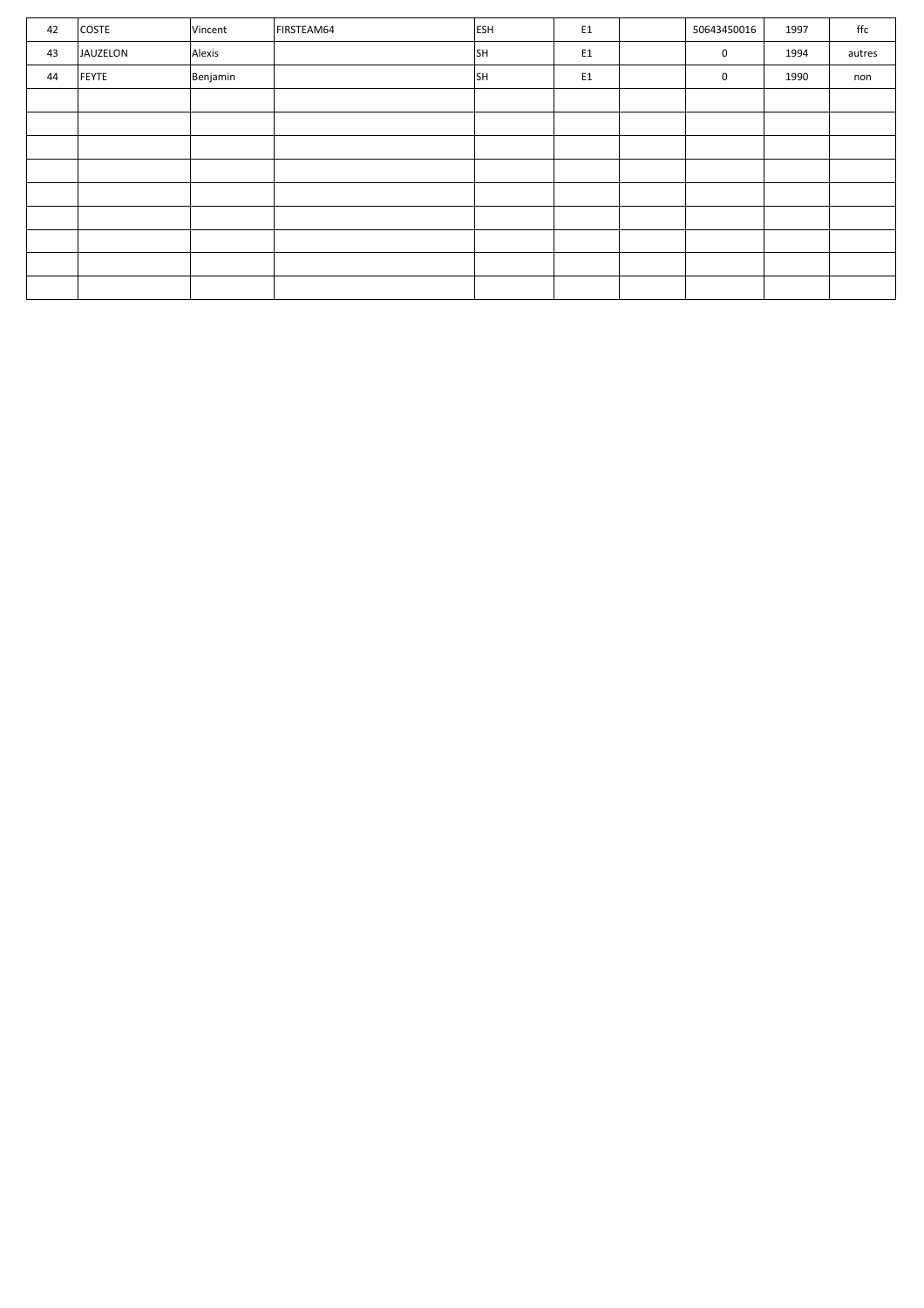| 42 | <b>COSTE</b> | Vincent  | FIRSTEAM64 | <b>ESH</b> | E <sub>1</sub> | 50643450016 | 1997 | ffc    |
|----|--------------|----------|------------|------------|----------------|-------------|------|--------|
| 43 | JAUZELON     | Alexis   |            | SH         | E1             | 0           | 1994 | autres |
| 44 | FEYTE        | Benjamin |            | SH         | E1             | 0           | 1990 | non    |
|    |              |          |            |            |                |             |      |        |
|    |              |          |            |            |                |             |      |        |
|    |              |          |            |            |                |             |      |        |
|    |              |          |            |            |                |             |      |        |
|    |              |          |            |            |                |             |      |        |
|    |              |          |            |            |                |             |      |        |
|    |              |          |            |            |                |             |      |        |
|    |              |          |            |            |                |             |      |        |
|    |              |          |            |            |                |             |      |        |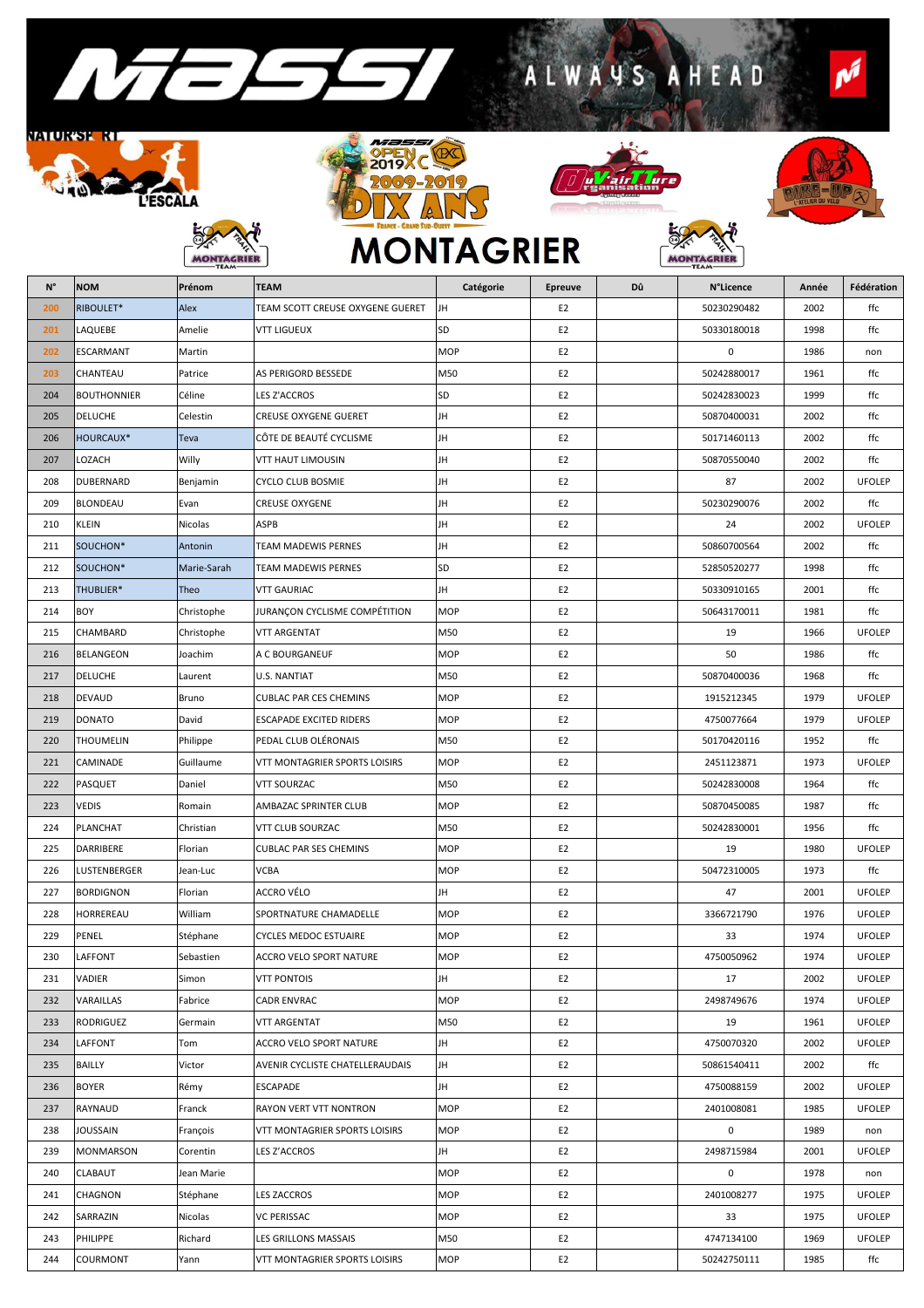

**ESCALA** 

**BS** 

**MONT** 

GRIEF

<u>NATURSK RT</u>

REN





ALWAYS AHEAD



∵ \∕<br>RIER:

MON

N

## **MONTAGRIER**

| $N^{\circ}$ | <b>NOM</b>         | Prénom      | <b>TEAM</b>                      | Catégorie  | Epreuve        | Dû | <b>N°Licence</b> | Année | Fédération    |
|-------------|--------------------|-------------|----------------------------------|------------|----------------|----|------------------|-------|---------------|
| 200         | RIBOULET*          | Alex        | TEAM SCOTT CREUSE OXYGENE GUERET | JH         | E <sub>2</sub> |    | 50230290482      | 2002  | ffc           |
| 201         | LAQUEBE            | Amelie      | <b>VTT LIGUEUX</b>               | SD         | E <sub>2</sub> |    | 50330180018      | 1998  | ffc           |
| 202         | <b>ESCARMANT</b>   | Martin      |                                  | <b>MOP</b> | E <sub>2</sub> |    | 0                | 1986  | non           |
| 203         | CHANTEAU           | Patrice     | AS PERIGORD BESSEDE              | M50        | E <sub>2</sub> |    | 50242880017      | 1961  | ffc           |
| 204         | <b>BOUTHONNIER</b> | Céline      | <b>LES Z'ACCROS</b>              | SD         | E <sub>2</sub> |    | 50242830023      | 1999  | ffc           |
| 205         | <b>DELUCHE</b>     | Celestin    | <b>CREUSE OXYGENE GUERET</b>     | JH         | E <sub>2</sub> |    | 50870400031      | 2002  | ffc           |
| 206         | <b>HOURCAUX*</b>   | Teva        | CÔTE DE BEAUTÉ CYCLISME          | JH         | E <sub>2</sub> |    | 50171460113      | 2002  | ffc           |
| 207         | LOZACH             | Willy       | <b>VTT HAUT LIMOUSIN</b>         | JH         | E <sub>2</sub> |    | 50870550040      | 2002  | ffc           |
| 208         | <b>DUBERNARD</b>   | Benjamin    | <b>CYCLO CLUB BOSMIE</b>         | JH         | E <sub>2</sub> |    | 87               | 2002  | <b>UFOLEP</b> |
| 209         | <b>BLONDEAU</b>    | Evan        | <b>CREUSE OXYGENE</b>            | JH         | E <sub>2</sub> |    | 50230290076      | 2002  | ffc           |
| 210         | <b>KLEIN</b>       | Nicolas     | <b>ASPB</b>                      | JH         | E <sub>2</sub> |    | 24               | 2002  | <b>UFOLEP</b> |
| 211         | SOUCHON*           | Antonin     | TEAM MADEWIS PERNES              | JH         | E <sub>2</sub> |    | 50860700564      | 2002  | ffc           |
| 212         | SOUCHON*           | Marie-Sarah | TEAM MADEWIS PERNES              | SD         | E <sub>2</sub> |    | 52850520277      | 1998  | ffc           |
| 213         | THUBLIER*          | Theo        | <b>VTT GAURIAC</b>               | JH         | E <sub>2</sub> |    | 50330910165      | 2001  | ffc           |
| 214         | <b>BOY</b>         | Christophe  | JURANÇON CYCLISME COMPÉTITION    | MOP        | E <sub>2</sub> |    | 50643170011      | 1981  | ffc           |
| 215         | CHAMBARD           | Christophe  | <b>VTT ARGENTAT</b>              | M50        | E <sub>2</sub> |    | 19               | 1966  | <b>UFOLEP</b> |
| 216         | <b>BELANGEON</b>   | Joachim     | A C BOURGANEUF                   | <b>MOP</b> | E <sub>2</sub> |    | 50               | 1986  | ffc           |
| 217         | <b>DELUCHE</b>     | Laurent     | <b>U.S. NANTIAT</b>              | M50        | E <sub>2</sub> |    | 50870400036      | 1968  | ffc           |
| 218         | <b>DEVAUD</b>      | Bruno       | <b>CUBLAC PAR CES CHEMINS</b>    | <b>MOP</b> | E <sub>2</sub> |    | 1915212345       | 1979  | <b>UFOLEP</b> |
| 219         | <b>DONATO</b>      | David       | <b>ESCAPADE EXCITED RIDERS</b>   | MOP        | E <sub>2</sub> |    | 4750077664       | 1979  | <b>UFOLEP</b> |
| 220         | <b>THOUMELIN</b>   | Philippe    | PEDAL CLUB OLÉRONAIS             | M50        | E <sub>2</sub> |    | 50170420116      | 1952  | ffc           |
| 221         | CAMINADE           | Guillaume   | VTT MONTAGRIER SPORTS LOISIRS    | MOP        | E <sub>2</sub> |    | 2451123871       | 1973  | <b>UFOLEP</b> |
| 222         | PASQUET            | Daniel      | <b>VTT SOURZAC</b>               | M50        | E <sub>2</sub> |    | 50242830008      | 1964  | ffc           |
| 223         | <b>VEDIS</b>       | Romain      | AMBAZAC SPRINTER CLUB            | MOP        | E <sub>2</sub> |    | 50870450085      | 1987  | ffc           |
| 224         | PLANCHAT           | Christian   | VTT CLUB SOURZAC                 | M50        | E <sub>2</sub> |    | 50242830001      | 1956  | ffc           |
| 225         | <b>DARRIBERE</b>   | Florian     | <b>CUBLAC PAR SES CHEMINS</b>    | <b>MOP</b> | E <sub>2</sub> |    | 19               | 1980  | <b>UFOLEP</b> |
| 226         | LUSTENBERGER       | Jean-Luc    | <b>VCBA</b>                      | MOP        | E <sub>2</sub> |    | 50472310005      | 1973  | ffc           |
| 227         | <b>BORDIGNON</b>   | Florian     | ACCRO VÉLO                       | JH         | E <sub>2</sub> |    | 47               | 2001  | <b>UFOLEP</b> |
| 228         | HORREREAU          | William     | SPORTNATURE CHAMADELLE           | <b>MOP</b> | E <sub>2</sub> |    | 3366721790       | 1976  | <b>UFOLEP</b> |
| 229         | PENEL              | Stéphane    | <b>CYCLES MEDOC ESTUAIRE</b>     | MOP        | E <sub>2</sub> |    | 33               | 1974  | <b>UFOLEP</b> |
| 230         | LAFFONT            | Sebastien   | ACCRO VELO SPORT NATURE          | <b>MOP</b> | E <sub>2</sub> |    | 4750050962       | 1974  | <b>UFOLEP</b> |
| 231         | VADIER             | Simon       | <b>VTT PONTOIS</b>               | JH         | E <sub>2</sub> |    | 17               | 2002  | <b>UFOLEP</b> |
| 232         | VARAILLAS          | Fabrice     | <b>CADR ENVRAC</b>               | <b>MOP</b> | E <sub>2</sub> |    | 2498749676       | 1974  | <b>UFOLEP</b> |
| 233         | <b>RODRIGUEZ</b>   | Germain     | <b>VTT ARGENTAT</b>              | M50        | E <sub>2</sub> |    | 19               | 1961  | <b>UFOLEP</b> |
| 234         | LAFFONT            | Tom         | ACCRO VELO SPORT NATURE          | JH         | E <sub>2</sub> |    | 4750070320       | 2002  | <b>UFOLEP</b> |
| 235         | <b>BAILLY</b>      | Victor      | AVENIR CYCLISTE CHATELLERAUDAIS  | JH         | E <sub>2</sub> |    | 50861540411      | 2002  | ffc           |
| 236         | <b>BOYER</b>       | Rémy        | <b>ESCAPADE</b>                  | JH         | E <sub>2</sub> |    | 4750088159       | 2002  | <b>UFOLEP</b> |
| 237         | RAYNAUD            | Franck      | RAYON VERT VTT NONTRON           | <b>MOP</b> | E <sub>2</sub> |    | 2401008081       | 1985  | <b>UFOLEP</b> |
| 238         | <b>JOUSSAIN</b>    | François    | VTT MONTAGRIER SPORTS LOISIRS    | <b>MOP</b> | E <sub>2</sub> |    | 0                | 1989  | non           |
| 239         | <b>MONMARSON</b>   | Corentin    | LES Z'ACCROS                     | JH         | E <sub>2</sub> |    | 2498715984       | 2001  | <b>UFOLEP</b> |
| 240         | <b>CLABAUT</b>     | Jean Marie  |                                  | <b>MOP</b> | E <sub>2</sub> |    | 0                | 1978  | non           |
| 241         | CHAGNON            | Stéphane    | <b>LES ZACCROS</b>               | <b>MOP</b> | E <sub>2</sub> |    | 2401008277       | 1975  | <b>UFOLEP</b> |
| 242         | SARRAZIN           | Nicolas     | <b>VC PERISSAC</b>               | MOP        | E <sub>2</sub> |    | 33               | 1975  | <b>UFOLEP</b> |
| 243         | PHILIPPE           | Richard     | LES GRILLONS MASSAIS             | M50        | E <sub>2</sub> |    | 4747134100       | 1969  | <b>UFOLEP</b> |
| 244         | <b>COURMONT</b>    | Yann        | VTT MONTAGRIER SPORTS LOISIRS    | <b>MOP</b> | F <sub>2</sub> |    | 50242750111      | 1985  | $_{\rm ff}$   |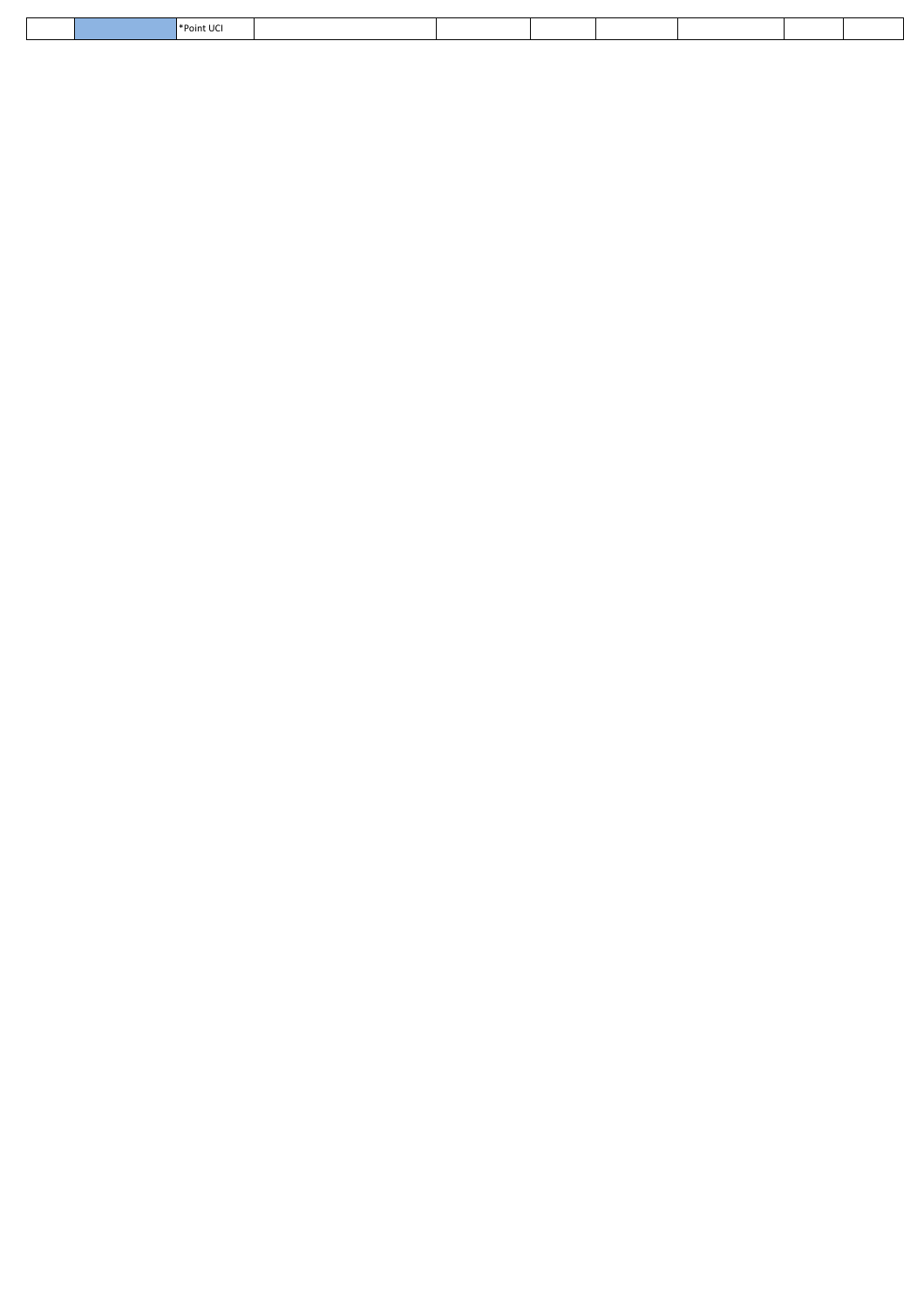| oint UC.<br>. |  |
|---------------|--|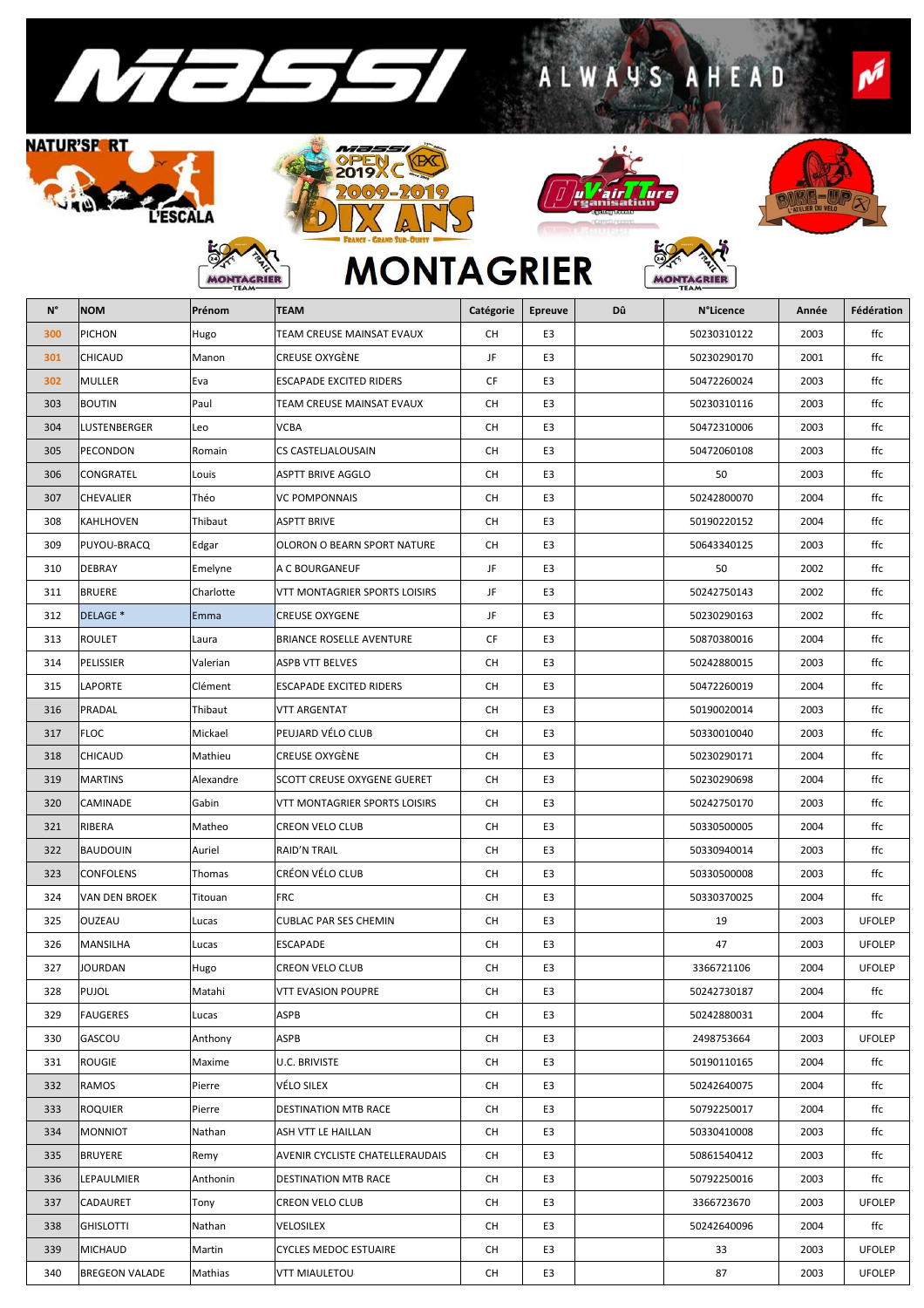

MON

GRIEF







S

A H E

RIEF

A **IW** 



D

Ń

## **MONTAGRIER**

| N°  | <b>NOM</b>          | Prénom    | <b>TEAM</b>                     | Catégorie | <b>Epreuve</b> | Dû | <b>N°Licence</b> | Année | Fédération    |
|-----|---------------------|-----------|---------------------------------|-----------|----------------|----|------------------|-------|---------------|
| 300 | <b>PICHON</b>       | Hugo      | TEAM CREUSE MAINSAT EVAUX       | <b>CH</b> | E3             |    | 50230310122      | 2003  | ffc           |
| 301 | CHICAUD             | Manon     | CREUSE OXYGÈNE                  | JF        | E3             |    | 50230290170      | 2001  | ffc           |
| 302 | <b>MULLER</b>       | Eva       | ESCAPADE EXCITED RIDERS         | <b>CF</b> | E3             |    | 50472260024      | 2003  | ffc           |
| 303 | <b>BOUTIN</b>       | Paul      | TEAM CREUSE MAINSAT EVAUX       | <b>CH</b> | E3             |    | 50230310116      | 2003  | ffc           |
| 304 | LUSTENBERGER        | Leo       | <b>VCBA</b>                     | СH        | E3             |    | 50472310006      | 2003  | ffc           |
| 305 | PECONDON            | Romain    | CS CASTELJALOUSAIN              | <b>CH</b> | E3             |    | 50472060108      | 2003  | ffc           |
| 306 | CONGRATEL           | Louis     | <b>ASPTT BRIVE AGGLO</b>        | <b>CH</b> | E3             |    | 50               | 2003  | ffc           |
| 307 | CHEVALIER           | Théo      | <b>VC POMPONNAIS</b>            | <b>CH</b> | E <sub>3</sub> |    | 50242800070      | 2004  | ffc           |
| 308 | KAHLHOVEN           | Thibaut   | ASPTT BRIVE                     | <b>CH</b> | E3             |    | 50190220152      | 2004  | ffc           |
| 309 | PUYOU-BRACQ         | Edgar     | OLORON O BEARN SPORT NATURE     | СH        | E3             |    | 50643340125      | 2003  | ffc           |
| 310 | DEBRAY              | Emelyne   | A C BOURGANEUF                  | JF        | E <sub>3</sub> |    | 50               | 2002  | ffc           |
| 311 | <b>BRUERE</b>       | Charlotte | VTT MONTAGRIER SPORTS LOISIRS   | JF        | E3             |    | 50242750143      | 2002  | ffc           |
| 312 | DELAGE <sup>*</sup> | Emma      | <b>CREUSE OXYGENE</b>           | JF        | E3             |    | 50230290163      | 2002  | ffc           |
| 313 | <b>ROULET</b>       | Laura     | <b>BRIANCE ROSELLE AVENTURE</b> | <b>CF</b> | E <sub>3</sub> |    | 50870380016      | 2004  | ffc           |
| 314 | PELISSIER           | Valerian  | ASPB VTT BELVES                 | <b>CH</b> | E3             |    | 50242880015      | 2003  | ffc           |
| 315 | LAPORTE             | Clément   | <b>ESCAPADE EXCITED RIDERS</b>  | СH        | E3             |    | 50472260019      | 2004  | ffc           |
| 316 | PRADAL              | Thibaut   | <b>VTT ARGENTAT</b>             | <b>CH</b> | E <sub>3</sub> |    | 50190020014      | 2003  | ffc           |
| 317 | <b>FLOC</b>         | Mickael   | PEUJARD VÉLO CLUB               | СH        | E3             |    | 50330010040      | 2003  | ffc           |
| 318 | CHICAUD             | Mathieu   | CREUSE OXYGÉNE                  | СH        | E3             |    | 50230290171      | 2004  | ffc           |
| 319 | <b>MARTINS</b>      | Alexandre | SCOTT CREUSE OXYGENE GUERET     | <b>CH</b> | E <sub>3</sub> |    | 50230290698      | 2004  | ffc           |
| 320 | CAMINADE            | Gabin     | VTT MONTAGRIER SPORTS LOISIRS   | СH        | E3             |    | 50242750170      | 2003  | ffc           |
| 321 | RIBERA              | Matheo    | CREON VELO CLUB                 | CH        | E <sub>3</sub> |    | 50330500005      | 2004  | ffc           |
| 322 | <b>BAUDOUIN</b>     | Auriel    | <b>RAID'N TRAIL</b>             | <b>CH</b> | E <sub>3</sub> |    | 50330940014      | 2003  | ffc           |
| 323 | CONFOLENS           | Thomas    | CRÉON VÉLO CLUB                 | СH        | E3             |    | 50330500008      | 2003  | ffc           |
| 324 | VAN DEN BROEK       | Titouan   | <b>FRC</b>                      | <b>CH</b> | E <sub>3</sub> |    | 50330370025      | 2004  | ffc           |
| 325 | OUZEAU              | Lucas     | CUBLAC PAR SES CHEMIN           | <b>CH</b> | E <sub>3</sub> |    | 19               | 2003  | <b>UFOLEP</b> |
| 326 | MANSILHA            | Lucas     | ESCAPADE                        | СH        | E3             |    | 47               | 2003  | <b>UFOLEP</b> |
| 327 | JOURDAN             | Hugo      | <b>CREON VELO CLUB</b>          | <b>CH</b> | E3             |    | 3366721106       | 2004  | <b>UFOLEP</b> |
| 328 | PUJOL               | Matahi    | VTT EVASION POUPRE              | <b>CH</b> | E3             |    | 50242730187      | 2004  | ffc           |
| 329 | <b>FAUGERES</b>     | Lucas     | <b>ASPB</b>                     | <b>CH</b> | E <sub>3</sub> |    | 50242880031      | 2004  | ffc           |
| 330 | GASCOU              | Anthony   | ASPB                            | <b>CH</b> | E3             |    | 2498753664       | 2003  | <b>UFOLEP</b> |
| 331 | <b>ROUGIE</b>       | Maxime    | U.C. BRIVISTE                   | <b>CH</b> | E3             |    | 50190110165      | 2004  | ffc           |
| 332 | <b>RAMOS</b>        | Pierre    | VÉLO SILEX                      | <b>CH</b> | E <sub>3</sub> |    | 50242640075      | 2004  | ffc           |
| 333 | ROQUIER             | Pierre    | <b>DESTINATION MTB RACE</b>     | <b>CH</b> | E3             |    | 50792250017      | 2004  | ffc           |

334 MONNIOT Nathan ASH VTT LE HAILLAN | CH E3 | 50330410008 2003 | ffc 335 BRUYERE Remy AVENIR CYCLISTE CHATELLERAUDAIS CH E3 35 50861540412 2003 ffc 336 LEPAULMIER Anthonin DESTINATION MTB RACE CH E3 CH 50792250016 2003 ffc 337 CADAURET Tony CREON VELO CLUB CH E3 CH 3366723670 2003 UFOLEP 338 GHISLOTTI Nathan VELOSILEX CH E3 50242640096 2004 ffc 339 MICHAUD Martin CYCLES MEDOC ESTUAIRE | CH | E3 | 33 | 2003 | UFOLEP 340 BREGEON VALADE Mathias VTT MIAULETOU CH E3 87 2003 UFOLEP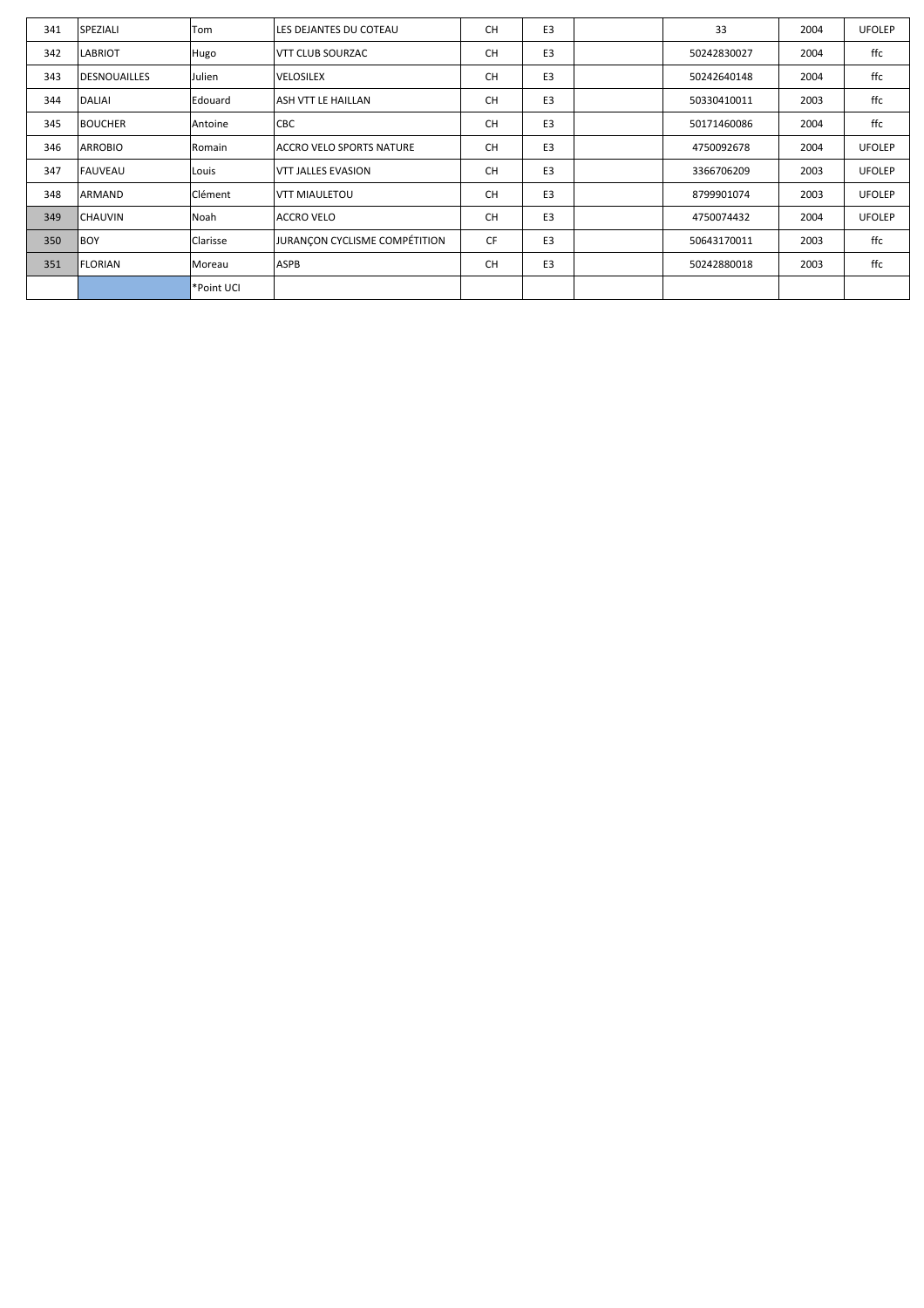| 341 | SPEZIALI            | Tom        | LES DEJANTES DU COTEAU        | <b>CH</b> | E <sub>3</sub> | 33          | 2004 | <b>UFOLEP</b> |
|-----|---------------------|------------|-------------------------------|-----------|----------------|-------------|------|---------------|
| 342 | <b>LABRIOT</b>      | Hugo       | VTT CLUB SOURZAC              | <b>CH</b> | E <sub>3</sub> | 50242830027 | 2004 | ffc           |
| 343 | <b>DESNOUAILLES</b> | Julien     | <b>VELOSILEX</b>              | <b>CH</b> | E <sub>3</sub> | 50242640148 | 2004 | ffc           |
| 344 | <b>DALIAI</b>       | Edouard    | ASH VTT LE HAILLAN            | <b>CH</b> | E3             | 50330410011 | 2003 | ffc           |
| 345 | <b>BOUCHER</b>      | Antoine    | <b>CBC</b>                    | <b>CH</b> | E3             | 50171460086 | 2004 | ffc           |
| 346 | <b>ARROBIO</b>      | Romain     | ACCRO VELO SPORTS NATURE      | <b>CH</b> | E3             | 4750092678  | 2004 | <b>UFOLEP</b> |
| 347 | <b>FAUVEAU</b>      | Louis      | <b>VTT JALLES EVASION</b>     | <b>CH</b> | E <sub>3</sub> | 3366706209  | 2003 | <b>UFOLEP</b> |
| 348 | <b>ARMAND</b>       | Clément    | <b>VTT MIAULETOU</b>          | <b>CH</b> | E3             | 8799901074  | 2003 | <b>UFOLEP</b> |
| 349 | <b>CHAUVIN</b>      | Noah       | <b>ACCRO VELO</b>             | <b>CH</b> | E <sub>3</sub> | 4750074432  | 2004 | <b>UFOLEP</b> |
| 350 | <b>BOY</b>          | Clarisse   | JURANCON CYCLISME COMPÉTITION | <b>CF</b> | E <sub>3</sub> | 50643170011 | 2003 | ffc           |
| 351 | <b>FLORIAN</b>      | Moreau     | <b>ASPB</b>                   | <b>CH</b> | E3             | 50242880018 | 2003 | ffc           |
|     |                     | *Point UCI |                               |           |                |             |      |               |